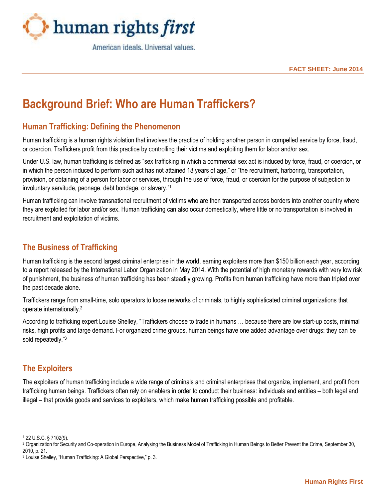

American ideals. Universal values.

**FACT SHEET: June 2014**

# **Background Brief: Who are Human Traffickers?**

## **Human Trafficking: Defining the Phenomenon**

Human trafficking is a human rights violation that involves the practice of holding another person in compelled service by force, fraud, or coercion. Traffickers profit from this practice by controlling their victims and exploiting them for labor and/or sex.

Under U.S. law, human trafficking is defined as "sex trafficking in which a commercial sex act is induced by force, fraud, or coercion, or in which the person induced to perform such act has not attained 18 years of age," or "the recruitment, harboring, transportation, provision, or obtaining of a person for labor or services, through the use of force, fraud, or coercion for the purpose of subjection to involuntary servitude, peonage, debt bondage, or slavery."<sup>1</sup>

Human trafficking can involve transnational recruitment of victims who are then transported across borders into another country where they are exploited for labor and/or sex. Human trafficking can also occur domestically, where little or no transportation is involved in recruitment and exploitation of victims.

#### **The Business of Trafficking**

Human trafficking is the second largest criminal enterprise in the world, earning exploiters more than \$150 billion each year, according to a report released by the International Labor Organization in May 2014. With the potential of high monetary rewards with very low risk of punishment, the business of human trafficking has been steadily growing. Profits from human trafficking have more than tripled over the past decade alone.

Traffickers range from small-time, solo operators to loose networks of criminals, to highly sophisticated criminal organizations that operate internationally.<sup>2</sup>

According to trafficking expert Louise Shelley, "Traffickers choose to trade in humans … because there are low start-up costs, minimal risks, high profits and large demand. For organized crime groups, human beings have one added advantage over drugs: they can be sold repeatedly."<sup>3</sup>

#### **The Exploiters**

The exploiters of human trafficking include a wide range of criminals and criminal enterprises that organize, implement, and profit from trafficking human beings. Traffickers often rely on enablers in order to conduct their business: individuals and entities – both legal and illegal – that provide goods and services to exploiters, which make human trafficking possible and profitable.

 $\overline{a}$ 

<sup>1</sup> 22 U.S.C. § 7102(9).

<sup>&</sup>lt;sup>2</sup> Organization for Security and Co-operation in Europe, Analysing the Business Model of Trafficking in Human Beings to Better Prevent the Crime, September 30, 2010, p. 21.

<sup>3</sup> Louise Shelley, "Human Trafficking: A Global Perspective," p. 3.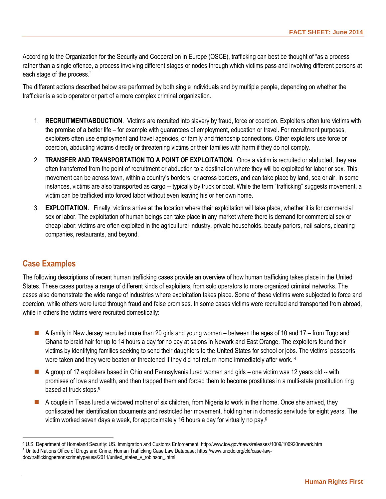According to the Organization for the Security and Cooperation in Europe (OSCE), trafficking can best be thought of "as a process rather than a single offence, a process involving different stages or nodes through which victims pass and involving different persons at each stage of the process."

The different actions described below are performed by both single individuals and by multiple people, depending on whether the trafficker is a solo operator or part of a more complex criminal organization.

- 1. **RECRUITMENT/ABDUCTION**. Victims are recruited into slavery by fraud, force or coercion. Exploiters often lure victims with the promise of a better life – for example with guarantees of employment, education or travel. For recruitment purposes, exploiters often use employment and travel agencies, or family and friendship connections. Other exploiters use force or coercion, abducting victims directly or threatening victims or their families with harm if they do not comply.
- 2. **TRANSFER AND TRANSPORTATION TO A POINT OF EXPLOITATION.** Once a victim is recruited or abducted, they are often transferred from the point of recruitment or abduction to a destination where they will be exploited for labor or sex. This movement can be across town, within a country's borders, or across borders, and can take place by land, sea or air. In some instances, victims are also transported as cargo -- typically by truck or boat. While the term "trafficking" suggests movement, a victim can be trafficked into forced labor without even leaving his or her own home.
- 3. **EXPLOITATION.** Finally, victims arrive at the location where their exploitation will take place, whether it is for commercial sex or labor. The exploitation of human beings can take place in any market where there is demand for commercial sex or cheap labor: victims are often exploited in the agricultural industry, private households, beauty parlors, nail salons, cleaning companies, restaurants, and beyond.

#### **Case Examples**

 $\overline{a}$ 

The following descriptions of recent human trafficking cases provide an overview of how human trafficking takes place in the United States. These cases portray a range of different kinds of exploiters, from solo operators to more organized criminal networks. The cases also demonstrate the wide range of industries where exploitation takes place. Some of these victims were subjected to force and coercion, while others were lured through fraud and false promises. In some cases victims were recruited and transported from abroad, while in others the victims were recruited domestically:

- A family in New Jersey recruited more than 20 girls and young women between the ages of 10 and 17 from Togo and Ghana to braid hair for up to 14 hours a day for no pay at salons in Newark and East Orange. The exploiters found their victims by identifying families seeking to send their daughters to the United States for school or jobs. The victims' passports were taken and they were beaten or threatened if they did not return home immediately after work. 4
- A group of 17 exploiters based in Ohio and Pennsylvania lured women and girls one victim was 12 years old -- with promises of love and wealth, and then trapped them and forced them to become prostitutes in a multi-state prostitution ring based at truck stops.<sup>5</sup>
- A couple in Texas lured a widowed mother of six children, from Nigeria to work in their home. Once she arrived, they confiscated her identification documents and restricted her movement, holding her in domestic servitude for eight years. The victim worked seven days a week, for approximately 16 hours a day for virtually no pay.<sup>6</sup>

<sup>4</sup> U.S. Department of Homeland Security: US. Immigration and Customs Enforcement. http://www.ice.gov/news/releases/1009/100920newark.htm <sup>5</sup> United Nations Office of Drugs and Crime, Human Trafficking Case Law Database: https://www.unodc.org/cld/case-law-

doc/traffickingpersonscrimetype/usa/2011/united\_states\_v\_robinson\_.html